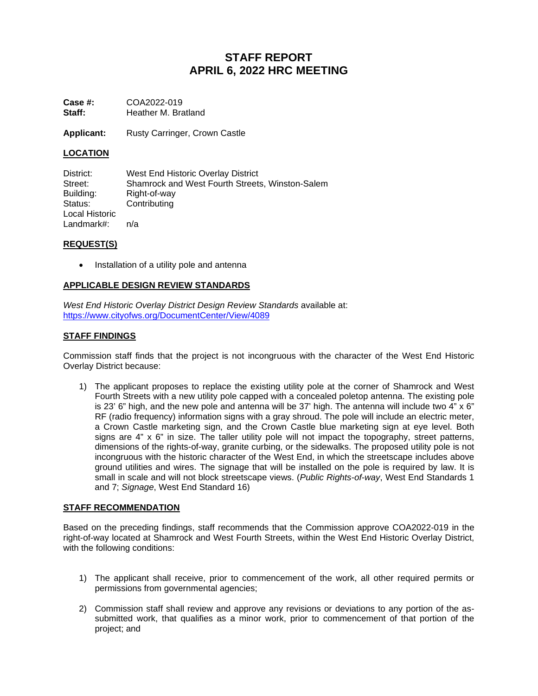# **STAFF REPORT APRIL 6, 2022 HRC MEETING**

**Case #:** COA2022-019<br>**Staff:** Heather M. Bra **Staff:** Heather M. Bratland

Applicant: Rusty Carringer, Crown Castle

# **LOCATION**

District: West End Historic Overlay District Street: Shamrock and West Fourth Streets, Winston-Salem<br>Building: Right-of-way Right-of-way Status: Contributing Local Historic Landmark#: n/a

### **REQUEST(S)**

• Installation of a utility pole and antenna

# **APPLICABLE DESIGN REVIEW STANDARDS**

*West End Historic Overlay District Design Review Standards* available at: <https://www.cityofws.org/DocumentCenter/View/4089>

# **STAFF FINDINGS**

Commission staff finds that the project is not incongruous with the character of the West End Historic Overlay District because:

1) The applicant proposes to replace the existing utility pole at the corner of Shamrock and West Fourth Streets with a new utility pole capped with a concealed poletop antenna. The existing pole is 23' 6" high, and the new pole and antenna will be 37' high. The antenna will include two  $4" \times 6"$ RF (radio frequency) information signs with a gray shroud. The pole will include an electric meter, a Crown Castle marketing sign, and the Crown Castle blue marketing sign at eye level. Both signs are 4" x 6" in size. The taller utility pole will not impact the topography, street patterns, dimensions of the rights-of-way, granite curbing, or the sidewalks. The proposed utility pole is not incongruous with the historic character of the West End, in which the streetscape includes above ground utilities and wires. The signage that will be installed on the pole is required by law. It is small in scale and will not block streetscape views. (*Public Rights-of-way*, West End Standards 1 and 7; *Signage*, West End Standard 16)

### **STAFF RECOMMENDATION**

Based on the preceding findings, staff recommends that the Commission approve COA2022-019 in the right-of-way located at Shamrock and West Fourth Streets, within the West End Historic Overlay District, with the following conditions:

- 1) The applicant shall receive, prior to commencement of the work, all other required permits or permissions from governmental agencies;
- 2) Commission staff shall review and approve any revisions or deviations to any portion of the assubmitted work, that qualifies as a minor work, prior to commencement of that portion of the project; and